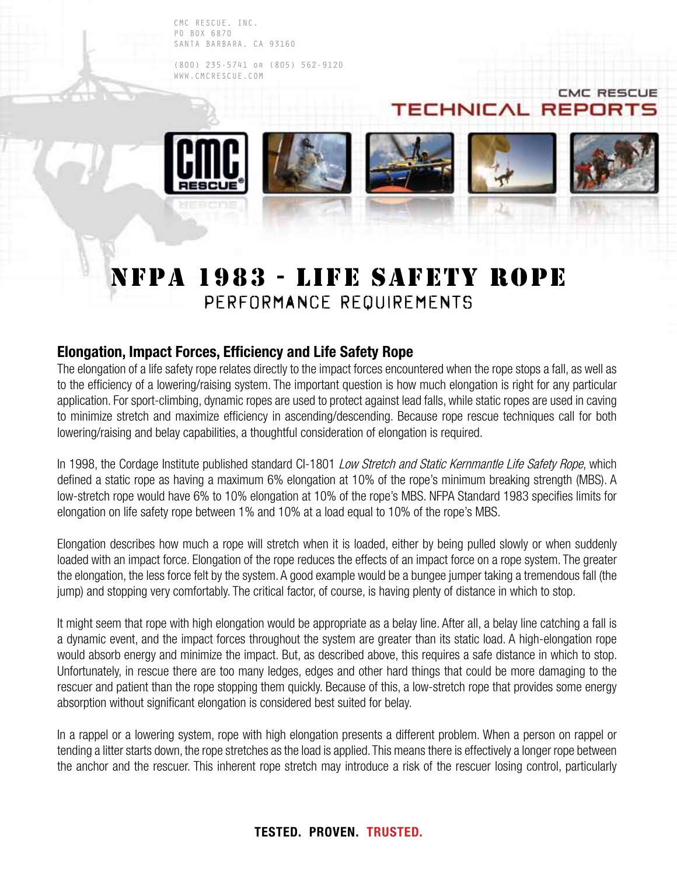CMC RESCUE, INC. PO BOX 6870 SANTA BARBARA, CA 93160

(800) 235-5741 or (805) 562-9120 WWW.CMCRESCUE.COM



**CMC RESCUE** 

# NFPA 1983 - Life safety rope PERFORMANCE REQUIREMENTS

## **Elongation, Impact Forces, Efficiency and Life Safety Rope**

The elongation of a life safety rope relates directly to the impact forces encountered when the rope stops a fall, as well as to the efficiency of a lowering/raising system. The important question is how much elongation is right for any particular application. For sport-climbing, dynamic ropes are used to protect against lead falls, while static ropes are used in caving to minimize stretch and maximize efficiency in ascending/descending. Because rope rescue techniques call for both lowering/raising and belay capabilities, a thoughtful consideration of elongation is required.

In 1998, the Cordage Institute published standard CI-1801 Low Stretch and Static Kernmantle Life Safety Rope, which defined a static rope as having a maximum 6% elongation at 10% of the rope's minimum breaking strength (MBS). A low-stretch rope would have 6% to 10% elongation at 10% of the rope's MBS. NFPA Standard 1983 specifies limits for elongation on life safety rope between 1% and 10% at a load equal to 10% of the rope's MBS.

Elongation describes how much a rope will stretch when it is loaded, either by being pulled slowly or when suddenly loaded with an impact force. Elongation of the rope reduces the effects of an impact force on a rope system. The greater the elongation, the less force felt by the system. A good example would be a bungee jumper taking a tremendous fall (the jump) and stopping very comfortably. The critical factor, of course, is having plenty of distance in which to stop.

It might seem that rope with high elongation would be appropriate as a belay line. After all, a belay line catching a fall is a dynamic event, and the impact forces throughout the system are greater than its static load. A high-elongation rope would absorb energy and minimize the impact. But, as described above, this requires a safe distance in which to stop. Unfortunately, in rescue there are too many ledges, edges and other hard things that could be more damaging to the rescuer and patient than the rope stopping them quickly. Because of this, a low-stretch rope that provides some energy absorption without significant elongation is considered best suited for belay.

In a rappel or a lowering system, rope with high elongation presents a different problem. When a person on rappel or tending a litter starts down, the rope stretches as the load is applied. This means there is effectively a longer rope between the anchor and the rescuer. This inherent rope stretch may introduce a risk of the rescuer losing control, particularly

### **TESTED. PROVEN. TRUSTED.**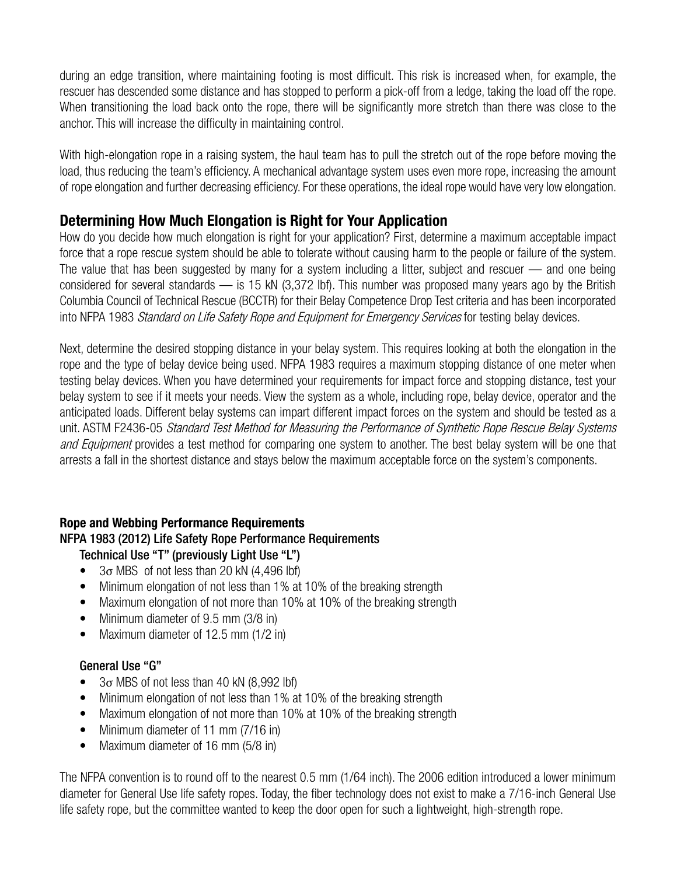during an edge transition, where maintaining footing is most difficult. This risk is increased when, for example, the rescuer has descended some distance and has stopped to perform a pick-off from a ledge, taking the load off the rope. When transitioning the load back onto the rope, there will be significantly more stretch than there was close to the anchor. This will increase the difficulty in maintaining control.

With high-elongation rope in a raising system, the haul team has to pull the stretch out of the rope before moving the load, thus reducing the team's efficiency. A mechanical advantage system uses even more rope, increasing the amount of rope elongation and further decreasing efficiency. For these operations, the ideal rope would have very low elongation.

## **Determining How Much Elongation is Right for Your Application**

How do you decide how much elongation is right for your application? First, determine a maximum acceptable impact force that a rope rescue system should be able to tolerate without causing harm to the people or failure of the system. The value that has been suggested by many for a system including a litter, subject and rescuer — and one being considered for several standards — is 15 kN (3,372 lbf). This number was proposed many years ago by the British Columbia Council of Technical Rescue (BCCTR) for their Belay Competence Drop Test criteria and has been incorporated into NFPA 1983 Standard on Life Safety Rope and Equipment for Emergency Services for testing belay devices.

Next, determine the desired stopping distance in your belay system. This requires looking at both the elongation in the rope and the type of belay device being used. NFPA 1983 requires a maximum stopping distance of one meter when testing belay devices. When you have determined your requirements for impact force and stopping distance, test your belay system to see if it meets your needs. View the system as a whole, including rope, belay device, operator and the anticipated loads. Different belay systems can impart different impact forces on the system and should be tested as a unit. ASTM F2436-05 Standard Test Method for Measuring the Performance of Synthetic Rope Rescue Belay Systems and Equipment provides a test method for comparing one system to another. The best belay system will be one that arrests a fall in the shortest distance and stays below the maximum acceptable force on the system's components.

### **Rope and Webbing Performance Requirements**

### NFPA 1983 (2012) Life Safety Rope Performance Requirements

Technical Use "T" (previously Light Use "L")

- $\bullet$  3 $\sigma$  MBS of not less than 20 kN (4,496 lbf)
- Minimum elongation of not less than 1% at 10% of the breaking strength
- Maximum elongation of not more than 10% at 10% of the breaking strength
- Minimum diameter of 9.5 mm (3/8 in)
- Maximum diameter of 12.5 mm (1/2 in)

#### General Use "G"

- $3\sigma$  MBS of not less than 40 kN (8,992 lbf)
- Minimum elongation of not less than 1% at 10% of the breaking strength
- Maximum elongation of not more than 10% at 10% of the breaking strength
- Minimum diameter of 11 mm (7/16 in)
- Maximum diameter of 16 mm (5/8 in)

The NFPA convention is to round off to the nearest 0.5 mm (1/64 inch). The 2006 edition introduced a lower minimum diameter for General Use life safety ropes. Today, the fiber technology does not exist to make a 7/16-inch General Use life safety rope, but the committee wanted to keep the door open for such a lightweight, high-strength rope.